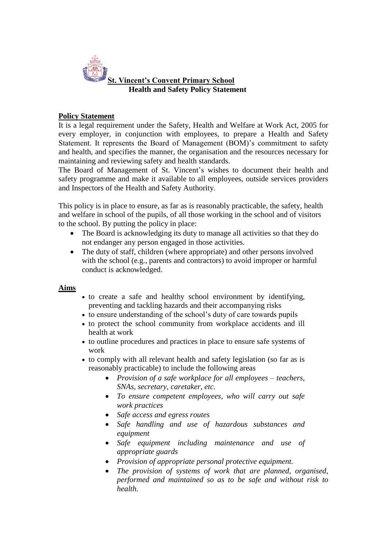

## **Policy Statement**

It is a legal requirement under the Safety, Health and Welfare at Work Act, 2005 for every employer, in conjunction with employees, to prepare a Health and Safety Statement. It represents the Board of Management (BOM)'s commitment to safety and health, and specifies the manner, the organisation and the resources necessary for maintaining and reviewing safety and health standards.

The Board of Management of St. Vincent's wishes to document their health and safety programme and make it available to all employees, outside services providers and Inspectors of the Health and Safety Authority.

This policy is in place to ensure, as far as is reasonably practicable, the safety, health and welfare in school of the pupils, of all those working in the school and of visitors to the school. By putting the policy in place:

- The Board is acknowledging its duty to manage all activities so that they do not endanger any person engaged in those activities.
- The duty of staff, children (where appropriate) and other persons involved with the school (e.g., parents and contractors) to avoid improper or harmful conduct is acknowledged.

### **Aims**

- to create a safe and healthy school environment by identifying, preventing and tackling hazards and their accompanying risks
- to ensure understanding of the school's duty of care towards pupils
- to protect the school community from workplace accidents and ill health at work
- to outline procedures and practices in place to ensure safe systems of work
- to comply with all relevant health and safety legislation (so far as is reasonably practicable) to include the following areas
	- *Provision of a safe workplace for all employees – teachers, SNAs, secretary, caretaker, etc.*
	- *To ensure competent employees, who will carry out safe work practices*
	- *Safe access and egress routes*
	- *Safe handling and use of hazardous substances and equipment*
	- *Safe equipment including maintenance and use of appropriate guards*
	- *Provision of appropriate personal protective equipment.*
	- *The provision of systems of work that are planned, organised, performed and maintained so as to be safe and without risk to health.*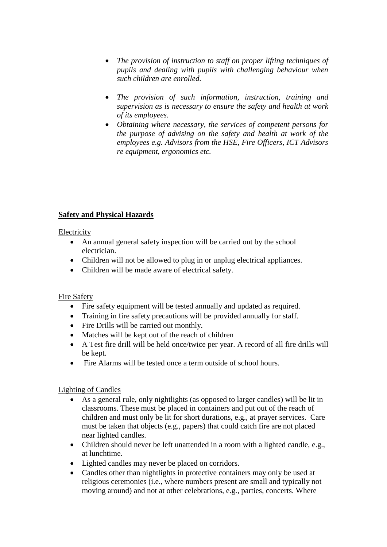- *The provision of instruction to staff on proper lifting techniques of pupils and dealing with pupils with challenging behaviour when such children are enrolled.*
- *The provision of such information, instruction, training and supervision as is necessary to ensure the safety and health at work of its employees.*
- *Obtaining where necessary, the services of competent persons for the purpose of advising on the safety and health at work of the employees e.g. Advisors from the HSE, Fire Officers, ICT Advisors re equipment, ergonomics etc.*

# **Safety and Physical Hazards**

## Electricity

- An annual general safety inspection will be carried out by the school electrician.
- Children will not be allowed to plug in or unplug electrical appliances.
- Children will be made aware of electrical safety.

## Fire Safety

- Fire safety equipment will be tested annually and updated as required.
- Training in fire safety precautions will be provided annually for staff.
- Fire Drills will be carried out monthly.
- Matches will be kept out of the reach of children
- A Test fire drill will be held once/twice per year. A record of all fire drills will be kept.
- Fire Alarms will be tested once a term outside of school hours.

## Lighting of Candles

- As a general rule, only nightlights (as opposed to larger candles) will be lit in classrooms. These must be placed in containers and put out of the reach of children and must only be lit for short durations, e.g., at prayer services. Care must be taken that objects (e.g., papers) that could catch fire are not placed near lighted candles.
- Children should never be left unattended in a room with a lighted candle, e.g., at lunchtime.
- Lighted candles may never be placed on corridors.
- Candles other than nightlights in protective containers may only be used at religious ceremonies (i.e., where numbers present are small and typically not moving around) and not at other celebrations, e.g., parties, concerts. Where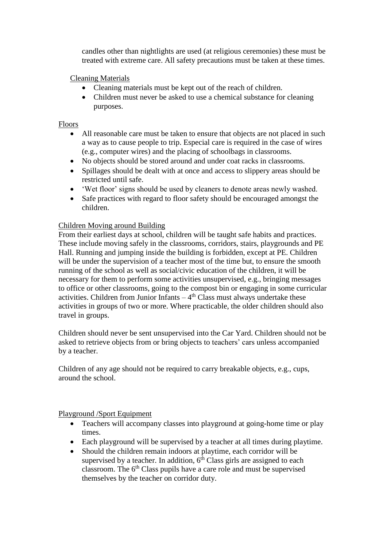candles other than nightlights are used (at religious ceremonies) these must be treated with extreme care. All safety precautions must be taken at these times.

Cleaning Materials

- Cleaning materials must be kept out of the reach of children.
- Children must never be asked to use a chemical substance for cleaning purposes.

# Floors

- All reasonable care must be taken to ensure that objects are not placed in such a way as to cause people to trip. Especial care is required in the case of wires (e.g., computer wires) and the placing of schoolbags in classrooms.
- No objects should be stored around and under coat racks in classrooms.
- Spillages should be dealt with at once and access to slippery areas should be restricted until safe.
- 'Wet floor' signs should be used by cleaners to denote areas newly washed.
- Safe practices with regard to floor safety should be encouraged amongst the children.

# Children Moving around Building

From their earliest days at school, children will be taught safe habits and practices. These include moving safely in the classrooms, corridors, stairs, playgrounds and PE Hall. Running and jumping inside the building is forbidden, except at PE. Children will be under the supervision of a teacher most of the time but, to ensure the smooth running of the school as well as social/civic education of the children, it will be necessary for them to perform some activities unsupervised, e.g., bringing messages to office or other classrooms, going to the compost bin or engaging in some curricular activities. Children from Junior Infants  $-4<sup>th</sup>$  Class must always undertake these activities in groups of two or more. Where practicable, the older children should also travel in groups.

Children should never be sent unsupervised into the Car Yard. Children should not be asked to retrieve objects from or bring objects to teachers' cars unless accompanied by a teacher.

Children of any age should not be required to carry breakable objects, e.g., cups, around the school.

## Playground /Sport Equipment

- Teachers will accompany classes into playground at going-home time or play times.
- Each playground will be supervised by a teacher at all times during playtime.
- Should the children remain indoors at playtime, each corridor will be supervised by a teacher. In addition,  $6<sup>th</sup>$  Class girls are assigned to each classroom. The  $6<sup>th</sup>$  Class pupils have a care role and must be supervised themselves by the teacher on corridor duty.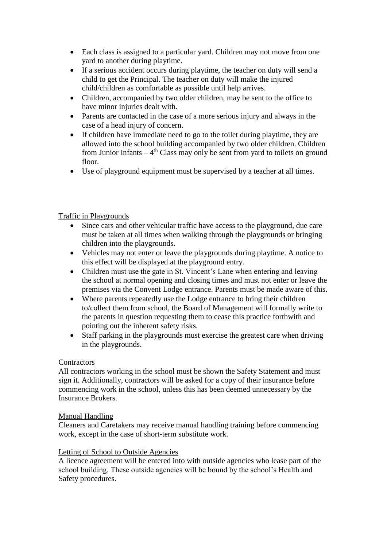- Each class is assigned to a particular yard. Children may not move from one yard to another during playtime.
- If a serious accident occurs during playtime, the teacher on duty will send a child to get the Principal. The teacher on duty will make the injured child/children as comfortable as possible until help arrives.
- Children, accompanied by two older children, may be sent to the office to have minor injuries dealt with.
- Parents are contacted in the case of a more serious injury and always in the case of a head injury of concern.
- If children have immediate need to go to the toilet during playtime, they are allowed into the school building accompanied by two older children. Children from Junior Infants  $-4<sup>th</sup>$  Class may only be sent from yard to toilets on ground floor.
- Use of playground equipment must be supervised by a teacher at all times.

## Traffic in Playgrounds

- Since cars and other vehicular traffic have access to the playground, due care must be taken at all times when walking through the playgrounds or bringing children into the playgrounds.
- Vehicles may not enter or leave the playgrounds during playtime. A notice to this effect will be displayed at the playground entry.
- Children must use the gate in St. Vincent's Lane when entering and leaving the school at normal opening and closing times and must not enter or leave the premises via the Convent Lodge entrance. Parents must be made aware of this.
- Where parents repeatedly use the Lodge entrance to bring their children to/collect them from school, the Board of Management will formally write to the parents in question requesting them to cease this practice forthwith and pointing out the inherent safety risks.
- Staff parking in the playgrounds must exercise the greatest care when driving in the playgrounds.

### **Contractors**

All contractors working in the school must be shown the Safety Statement and must sign it. Additionally, contractors will be asked for a copy of their insurance before commencing work in the school, unless this has been deemed unnecessary by the Insurance Brokers.

### Manual Handling

Cleaners and Caretakers may receive manual handling training before commencing work, except in the case of short-term substitute work.

### Letting of School to Outside Agencies

A licence agreement will be entered into with outside agencies who lease part of the school building. These outside agencies will be bound by the school's Health and Safety procedures.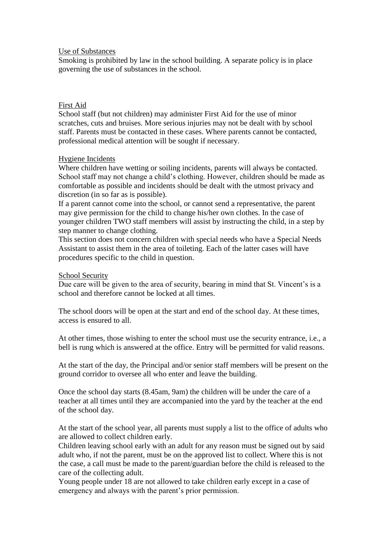#### Use of Substances

Smoking is prohibited by law in the school building. A separate policy is in place governing the use of substances in the school.

#### First Aid

School staff (but not children) may administer First Aid for the use of minor scratches, cuts and bruises. More serious injuries may not be dealt with by school staff. Parents must be contacted in these cases. Where parents cannot be contacted, professional medical attention will be sought if necessary.

### Hygiene Incidents

Where children have wetting or soiling incidents, parents will always be contacted. School staff may not change a child's clothing. However, children should be made as comfortable as possible and incidents should be dealt with the utmost privacy and discretion (in so far as is possible).

If a parent cannot come into the school, or cannot send a representative, the parent may give permission for the child to change his/her own clothes. In the case of younger children TWO staff members will assist by instructing the child, in a step by step manner to change clothing.

This section does not concern children with special needs who have a Special Needs Assistant to assist them in the area of toileting. Each of the latter cases will have procedures specific to the child in question.

#### School Security

Due care will be given to the area of security, bearing in mind that St. Vincent's is a school and therefore cannot be locked at all times.

The school doors will be open at the start and end of the school day. At these times, access is ensured to all.

At other times, those wishing to enter the school must use the security entrance, i.e., a bell is rung which is answered at the office. Entry will be permitted for valid reasons.

At the start of the day, the Principal and/or senior staff members will be present on the ground corridor to oversee all who enter and leave the building.

Once the school day starts (8.45am, 9am) the children will be under the care of a teacher at all times until they are accompanied into the yard by the teacher at the end of the school day.

At the start of the school year, all parents must supply a list to the office of adults who are allowed to collect children early.

Children leaving school early with an adult for any reason must be signed out by said adult who, if not the parent, must be on the approved list to collect. Where this is not the case, a call must be made to the parent/guardian before the child is released to the care of the collecting adult.

Young people under 18 are not allowed to take children early except in a case of emergency and always with the parent's prior permission.